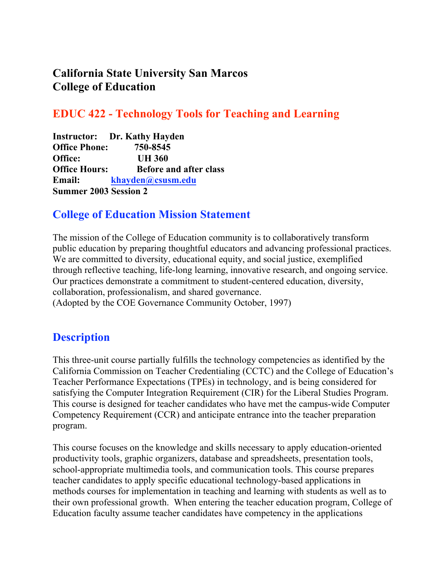## **California State University San Marcos College of Education**

## **EDUC 422 - Technology Tools for Teaching and Learning**

**Instructor: Dr. Kathy Hayden Office Phone: 750-8545 Office: UH 360 Office Hours: Before and after class Email: khayden@csusm.edu Summer 2003 Session 2**

### **College of Education Mission Statement**

The mission of the College of Education community is to collaboratively transform public education by preparing thoughtful educators and advancing professional practices. We are committed to diversity, educational equity, and social justice, exemplified through reflective teaching, life-long learning, innovative research, and ongoing service. Our practices demonstrate a commitment to student-centered education, diversity, collaboration, professionalism, and shared governance. (Adopted by the COE Governance Community October, 1997)

## **Description**

This three-unit course partially fulfills the technology competencies as identified by the California Commission on Teacher Credentialing (CCTC) and the College of Education's Teacher Performance Expectations (TPEs) in technology, and is being considered for satisfying the Computer Integration Requirement (CIR) for the Liberal Studies Program. This course is designed for teacher candidates who have met the campus-wide Computer Competency Requirement (CCR) and anticipate entrance into the teacher preparation program.

This course focuses on the knowledge and skills necessary to apply education-oriented productivity tools, graphic organizers, database and spreadsheets, presentation tools, school-appropriate multimedia tools, and communication tools. This course prepares teacher candidates to apply specific educational technology-based applications in methods courses for implementation in teaching and learning with students as well as to their own professional growth. When entering the teacher education program, College of Education faculty assume teacher candidates have competency in the applications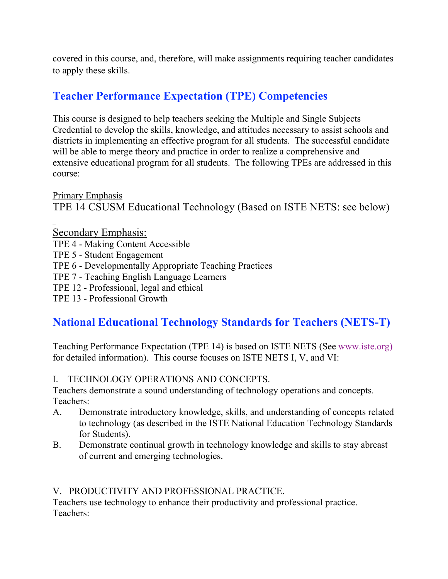covered in this course, and, therefore, will make assignments requiring teacher candidates to apply these skills.

## **Teacher Performance Expectation (TPE) Competencies**

This course is designed to help teachers seeking the Multiple and Single Subjects Credential to develop the skills, knowledge, and attitudes necessary to assist schools and districts in implementing an effective program for all students. The successful candidate will be able to merge theory and practice in order to realize a comprehensive and extensive educational program for all students. The following TPEs are addressed in this course:

Primary Emphasis

TPE 14 CSUSM Educational Technology (Based on ISTE NETS: see below)

Secondary Emphasis:

- TPE 4 Making Content Accessible
- TPE 5 Student Engagement
- TPE 6 Developmentally Appropriate Teaching Practices
- TPE 7 Teaching English Language Learners
- TPE 12 Professional, legal and ethical
- TPE 13 Professional Growth

## **National Educational Technology Standards for Teachers (NETS-T)**

Teaching Performance Expectation (TPE 14) is based on ISTE NETS (See www.iste.org) for detailed information). This course focuses on ISTE NETS I, V, and VI:

#### I. TECHNOLOGY OPERATIONS AND CONCEPTS.

Teachers demonstrate a sound understanding of technology operations and concepts. Teachers:

- A. Demonstrate introductory knowledge, skills, and understanding of concepts related to technology (as described in the ISTE National Education Technology Standards for Students).
- B. Demonstrate continual growth in technology knowledge and skills to stay abreast of current and emerging technologies.

#### V. PRODUCTIVITY AND PROFESSIONAL PRACTICE.

Teachers use technology to enhance their productivity and professional practice. Teachers: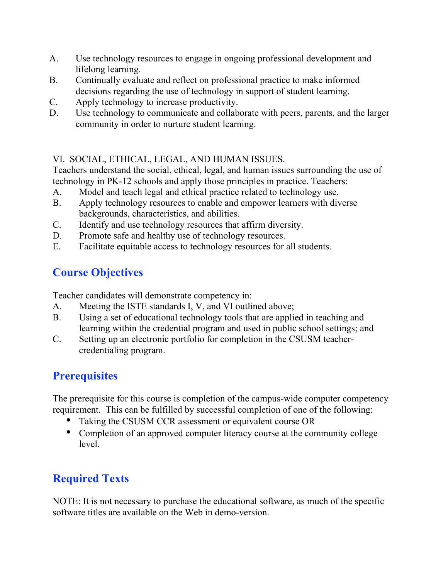- A. Use technology resources to engage in ongoing professional development and lifelong learning.
- B. Continually evaluate and reflect on professional practice to make informed decisions regarding the use of technology in support of student learning.
- C. Apply technology to increase productivity.
- D. Use technology to communicate and collaborate with peers, parents, and the larger community in order to nurture student learning.

### VI. SOCIAL, ETHICAL, LEGAL, AND HUMAN ISSUES.

Teachers understand the social, ethical, legal, and human issues surrounding the use of technology in PK-12 schools and apply those principles in practice. Teachers:

- A. Model and teach legal and ethical practice related to technology use.
- B. Apply technology resources to enable and empower learners with diverse backgrounds, characteristics, and abilities.
- C. Identify and use technology resources that affirm diversity.
- D. Promote safe and healthy use of technology resources.
- E. Facilitate equitable access to technology resources for all students.

## **Course Objectives**

Teacher candidates will demonstrate competency in:

- A. Meeting the ISTE standards I, V, and VI outlined above;
- B. Using a set of educational technology tools that are applied in teaching and learning within the credential program and used in public school settings; and
- C. Setting up an electronic portfolio for completion in the CSUSM teachercredentialing program.

## **Prerequisites**

The prerequisite for this course is completion of the campus-wide computer competency requirement. This can be fulfilled by successful completion of one of the following:

Taking the CSUSM CCR assessment or equivalent course OR

Completion of an approved computer literacy course at the community college level.

# **Required Texts**

NOTE: It is not necessary to purchase the educational software, as much of the specific software titles are available on the Web in demo-version.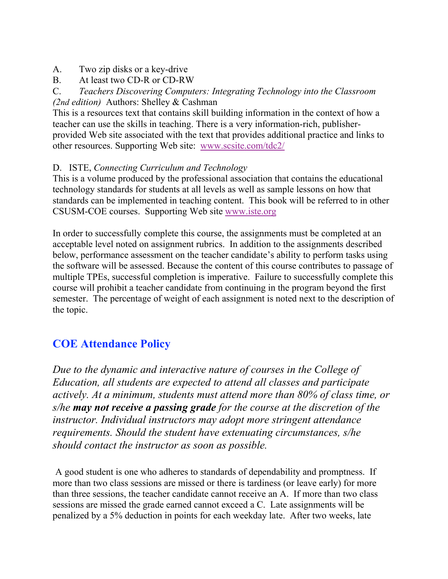- A. Two zip disks or a key-drive
- B. At least two CD-R or CD-RW

C. *Teachers Discovering Computers: Integrating Technology into the Classroom (2nd edition)* Authors: Shelley & Cashman

This is a resources text that contains skill building information in the context of how a teacher can use the skills in teaching. There is a very information-rich, publisherprovided Web site associated with the text that provides additional practice and links to other resources. Supporting Web site: www.scsite.com/tdc2/

#### D. ISTE, *Connecting Curriculum and Technology*

This is a volume produced by the professional association that contains the educational technology standards for students at all levels as well as sample lessons on how that standards can be implemented in teaching content. This book will be referred to in other CSUSM-COE courses. Supporting Web site www.iste.org

In order to successfully complete this course, the assignments must be completed at an acceptable level noted on assignment rubrics. In addition to the assignments described below, performance assessment on the teacher candidate's ability to perform tasks using the software will be assessed. Because the content of this course contributes to passage of multiple TPEs, successful completion is imperative. Failure to successfully complete this course will prohibit a teacher candidate from continuing in the program beyond the first semester. The percentage of weight of each assignment is noted next to the description of the topic.

## **COE Attendance Policy**

*Due to the dynamic and interactive nature of courses in the College of Education, all students are expected to attend all classes and participate actively. At a minimum, students must attend more than 80% of class time, or s/he may not receive a passing grade for the course at the discretion of the instructor. Individual instructors may adopt more stringent attendance requirements. Should the student have extenuating circumstances, s/he should contact the instructor as soon as possible.*

A good student is one who adheres to standards of dependability and promptness. If more than two class sessions are missed or there is tardiness (or leave early) for more than three sessions, the teacher candidate cannot receive an A. If more than two class sessions are missed the grade earned cannot exceed a C. Late assignments will be penalized by a 5% deduction in points for each weekday late. After two weeks, late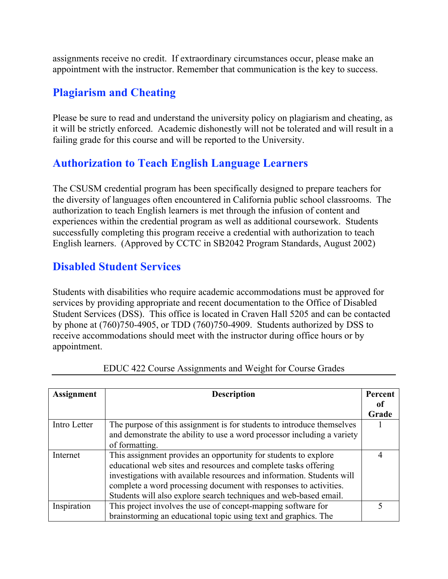assignments receive no credit. If extraordinary circumstances occur, please make an appointment with the instructor. Remember that communication is the key to success.

## **Plagiarism and Cheating**

Please be sure to read and understand the university policy on plagiarism and cheating, as it will be strictly enforced. Academic dishonestly will not be tolerated and will result in a failing grade for this course and will be reported to the University.

## **Authorization to Teach English Language Learners**

The CSUSM credential program has been specifically designed to prepare teachers for the diversity of languages often encountered in California public school classrooms. The authorization to teach English learners is met through the infusion of content and experiences within the credential program as well as additional coursework. Students successfully completing this program receive a credential with authorization to teach English learners. (Approved by CCTC in SB2042 Program Standards, August 2002)

## **Disabled Student Services**

Students with disabilities who require academic accommodations must be approved for services by providing appropriate and recent documentation to the Office of Disabled Student Services (DSS). This office is located in Craven Hall 5205 and can be contacted by phone at (760)750-4905, or TDD (760)750-4909. Students authorized by DSS to receive accommodations should meet with the instructor during office hours or by appointment.

| <b>Assignment</b> | <b>Description</b>                                                      |       |
|-------------------|-------------------------------------------------------------------------|-------|
|                   |                                                                         | 0f    |
|                   |                                                                         | Grade |
| Intro Letter      | The purpose of this assignment is for students to introduce themselves  |       |
|                   | and demonstrate the ability to use a word processor including a variety |       |
|                   | of formatting.                                                          |       |
| Internet          | This assignment provides an opportunity for students to explore         | 4     |
|                   | educational web sites and resources and complete tasks offering         |       |
|                   | investigations with available resources and information. Students will  |       |
|                   | complete a word processing document with responses to activities.       |       |
|                   | Students will also explore search techniques and web-based email.       |       |
| Inspiration       | This project involves the use of concept-mapping software for           |       |
|                   | brainstorming an educational topic using text and graphics. The         |       |

|  | EDUC 422 Course Assignments and Weight for Course Grades |  |  |  |
|--|----------------------------------------------------------|--|--|--|
|  |                                                          |  |  |  |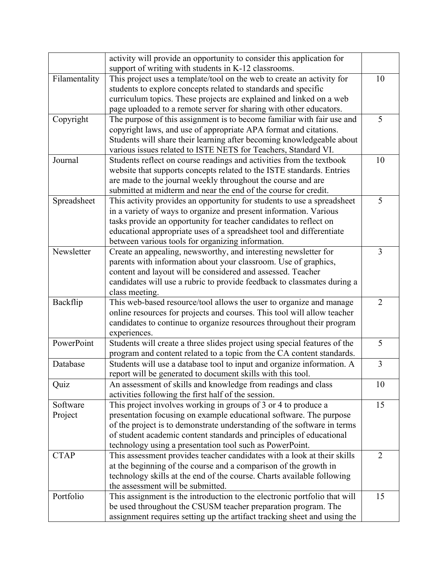|               | activity will provide an opportunity to consider this application for<br>support of writing with students in K-12 classrooms. |                |
|---------------|-------------------------------------------------------------------------------------------------------------------------------|----------------|
| Filamentality | This project uses a template/tool on the web to create an activity for                                                        | 10             |
|               | students to explore concepts related to standards and specific                                                                |                |
|               | curriculum topics. These projects are explained and linked on a web                                                           |                |
|               | page uploaded to a remote server for sharing with other educators.                                                            |                |
| Copyright     | The purpose of this assignment is to become familiar with fair use and                                                        | 5              |
|               | copyright laws, and use of appropriate APA format and citations.                                                              |                |
|               | Students will share their learning after becoming knowledgeable about                                                         |                |
|               | various issues related to ISTE NETS for Teachers, Standard VI.                                                                |                |
| Journal       | Students reflect on course readings and activities from the textbook                                                          | 10             |
|               |                                                                                                                               |                |
|               | website that supports concepts related to the ISTE standards. Entries                                                         |                |
|               | are made to the journal weekly throughout the course and are                                                                  |                |
|               | submitted at midterm and near the end of the course for credit.                                                               |                |
| Spreadsheet   | This activity provides an opportunity for students to use a spreadsheet                                                       | 5              |
|               | in a variety of ways to organize and present information. Various                                                             |                |
|               | tasks provide an opportunity for teacher candidates to reflect on                                                             |                |
|               | educational appropriate uses of a spreadsheet tool and differentiate                                                          |                |
|               | between various tools for organizing information.                                                                             |                |
| Newsletter    | Create an appealing, newsworthy, and interesting newsletter for                                                               | $\overline{3}$ |
|               | parents with information about your classroom. Use of graphics,                                                               |                |
|               | content and layout will be considered and assessed. Teacher                                                                   |                |
|               | candidates will use a rubric to provide feedback to classmates during a                                                       |                |
|               | class meeting.                                                                                                                |                |
| Backflip      | This web-based resource/tool allows the user to organize and manage                                                           | $\overline{2}$ |
|               | online resources for projects and courses. This tool will allow teacher                                                       |                |
|               | candidates to continue to organize resources throughout their program                                                         |                |
|               | experiences.                                                                                                                  |                |
| PowerPoint    | Students will create a three slides project using special features of the                                                     | 5              |
|               | program and content related to a topic from the CA content standards.                                                         |                |
| Database      | Students will use a database tool to input and organize information. A                                                        | $\overline{3}$ |
|               | report will be generated to document skills with this tool.                                                                   |                |
| Quiz          | An assessment of skills and knowledge from readings and class                                                                 | 10             |
|               | activities following the first half of the session.                                                                           |                |
| Software      | This project involves working in groups of 3 or 4 to produce a                                                                | 15             |
| Project       | presentation focusing on example educational software. The purpose                                                            |                |
|               | of the project is to demonstrate understanding of the software in terms                                                       |                |
|               | of student academic content standards and principles of educational                                                           |                |
|               | technology using a presentation tool such as PowerPoint.                                                                      |                |
| <b>CTAP</b>   | This assessment provides teacher candidates with a look at their skills                                                       | $\overline{2}$ |
|               | at the beginning of the course and a comparison of the growth in                                                              |                |
|               | technology skills at the end of the course. Charts available following                                                        |                |
|               | the assessment will be submitted.                                                                                             |                |
| Portfolio     | This assignment is the introduction to the electronic portfolio that will                                                     | 15             |
|               | be used throughout the CSUSM teacher preparation program. The                                                                 |                |
|               | assignment requires setting up the artifact tracking sheet and using the                                                      |                |
|               |                                                                                                                               |                |